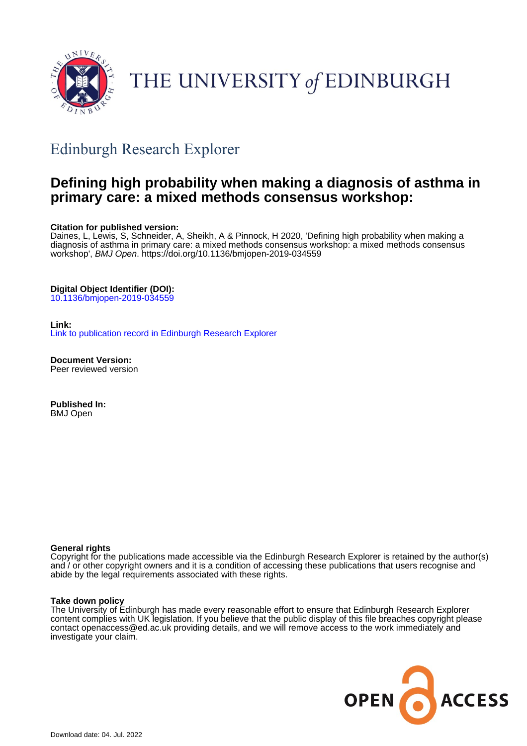

# THE UNIVERSITY of EDINBURGH

## Edinburgh Research Explorer

## **Defining high probability when making a diagnosis of asthma in primary care: a mixed methods consensus workshop:**

#### **Citation for published version:**

Daines, L, Lewis, S, Schneider, A, Sheikh, A & Pinnock, H 2020, 'Defining high probability when making a diagnosis of asthma in primary care: a mixed methods consensus workshop: a mixed methods consensus workshop', BMJ Open.<https://doi.org/10.1136/bmjopen-2019-034559>

#### **Digital Object Identifier (DOI):**

[10.1136/bmjopen-2019-034559](https://doi.org/10.1136/bmjopen-2019-034559)

#### **Link:**

[Link to publication record in Edinburgh Research Explorer](https://www.research.ed.ac.uk/en/publications/2ccb2f6f-6492-49b6-bafb-28e451f1a4f4)

**Document Version:** Peer reviewed version

**Published In:** BMJ Open

#### **General rights**

Copyright for the publications made accessible via the Edinburgh Research Explorer is retained by the author(s) and / or other copyright owners and it is a condition of accessing these publications that users recognise and abide by the legal requirements associated with these rights.

#### **Take down policy**

The University of Edinburgh has made every reasonable effort to ensure that Edinburgh Research Explorer content complies with UK legislation. If you believe that the public display of this file breaches copyright please contact openaccess@ed.ac.uk providing details, and we will remove access to the work immediately and investigate your claim.

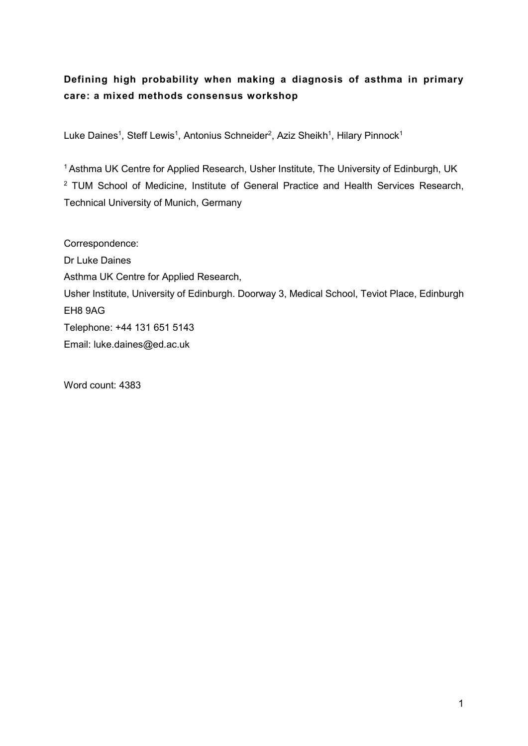## Defining high probability when making a diagnosis of asthma in primary care: a mixed methods consensus workshop

Luke Daines<sup>1</sup>, Steff Lewis<sup>1</sup>, Antonius Schneider<sup>2</sup>, Aziz Sheikh<sup>1</sup>, Hilary Pinnock<sup>1</sup>

<sup>1</sup> Asthma UK Centre for Applied Research, Usher Institute, The University of Edinburgh, UK <sup>2</sup> TUM School of Medicine, Institute of General Practice and Health Services Research, Technical University of Munich, Germany

Correspondence: Dr Luke Daines Asthma UK Centre for Applied Research, Usher Institute, University of Edinburgh. Doorway 3, Medical School, Teviot Place, Edinburgh EH8 9AG Telephone: +44 131 651 5143 Email: luke.daines@ed.ac.uk

Word count: 4383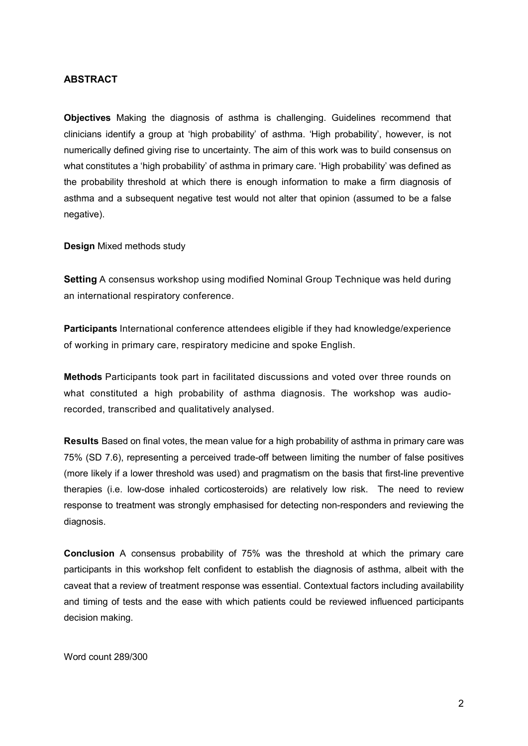## ABSTRACT

Objectives Making the diagnosis of asthma is challenging. Guidelines recommend that clinicians identify a group at 'high probability' of asthma. 'High probability', however, is not numerically defined giving rise to uncertainty. The aim of this work was to build consensus on what constitutes a 'high probability' of asthma in primary care. 'High probability' was defined as the probability threshold at which there is enough information to make a firm diagnosis of asthma and a subsequent negative test would not alter that opinion (assumed to be a false negative).

Design Mixed methods study

Setting A consensus workshop using modified Nominal Group Technique was held during an international respiratory conference.

Participants International conference attendees eligible if they had knowledge/experience of working in primary care, respiratory medicine and spoke English.

Methods Participants took part in facilitated discussions and voted over three rounds on what constituted a high probability of asthma diagnosis. The workshop was audiorecorded, transcribed and qualitatively analysed.

Results Based on final votes, the mean value for a high probability of asthma in primary care was 75% (SD 7.6), representing a perceived trade-off between limiting the number of false positives (more likely if a lower threshold was used) and pragmatism on the basis that first-line preventive therapies (i.e. low-dose inhaled corticosteroids) are relatively low risk. The need to review response to treatment was strongly emphasised for detecting non-responders and reviewing the diagnosis.

Conclusion A consensus probability of 75% was the threshold at which the primary care participants in this workshop felt confident to establish the diagnosis of asthma, albeit with the caveat that a review of treatment response was essential. Contextual factors including availability and timing of tests and the ease with which patients could be reviewed influenced participants decision making.

Word count 289/300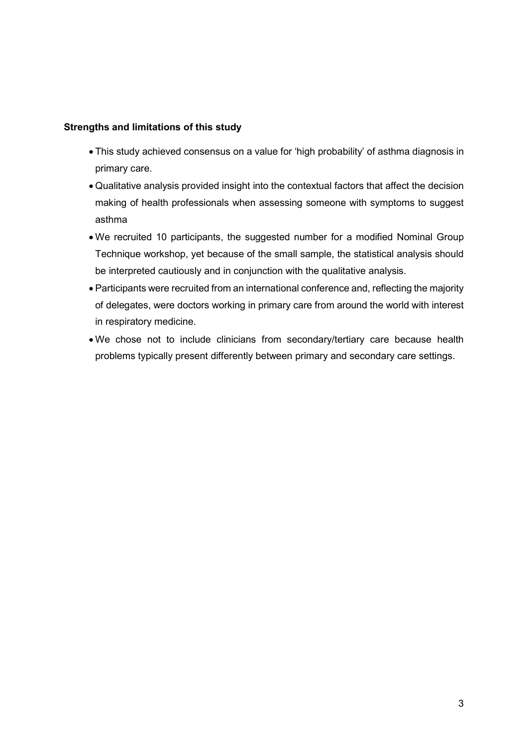## Strengths and limitations of this study

- This study achieved consensus on a value for 'high probability' of asthma diagnosis in primary care.
- Qualitative analysis provided insight into the contextual factors that affect the decision making of health professionals when assessing someone with symptoms to suggest asthma
- We recruited 10 participants, the suggested number for a modified Nominal Group Technique workshop, yet because of the small sample, the statistical analysis should be interpreted cautiously and in conjunction with the qualitative analysis.
- Participants were recruited from an international conference and, reflecting the majority of delegates, were doctors working in primary care from around the world with interest in respiratory medicine.
- We chose not to include clinicians from secondary/tertiary care because health problems typically present differently between primary and secondary care settings.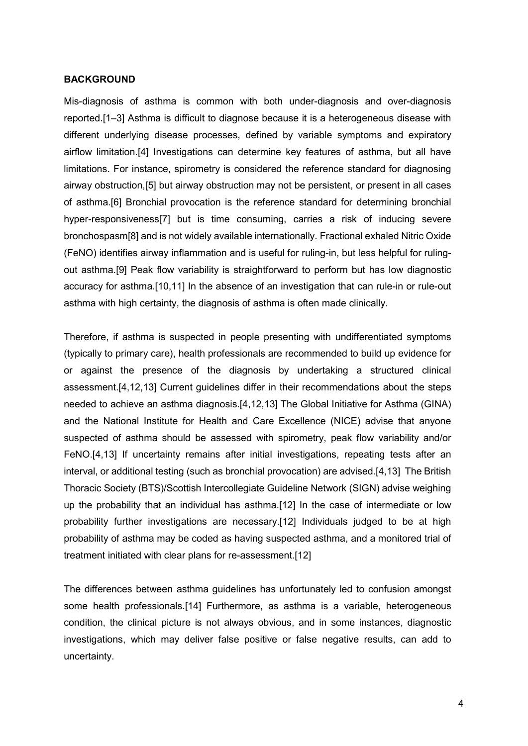#### **BACKGROUND**

Mis-diagnosis of asthma is common with both under-diagnosis and over-diagnosis reported.[1–3] Asthma is difficult to diagnose because it is a heterogeneous disease with different underlying disease processes, defined by variable symptoms and expiratory airflow limitation.[4] Investigations can determine key features of asthma, but all have limitations. For instance, spirometry is considered the reference standard for diagnosing airway obstruction,[5] but airway obstruction may not be persistent, or present in all cases of asthma.[6] Bronchial provocation is the reference standard for determining bronchial hyper-responsiveness[7] but is time consuming, carries a risk of inducing severe bronchospasm[8] and is not widely available internationally. Fractional exhaled Nitric Oxide (FeNO) identifies airway inflammation and is useful for ruling-in, but less helpful for rulingout asthma.[9] Peak flow variability is straightforward to perform but has low diagnostic accuracy for asthma.[10,11] In the absence of an investigation that can rule-in or rule-out asthma with high certainty, the diagnosis of asthma is often made clinically.

Therefore, if asthma is suspected in people presenting with undifferentiated symptoms (typically to primary care), health professionals are recommended to build up evidence for or against the presence of the diagnosis by undertaking a structured clinical assessment.[4,12,13] Current guidelines differ in their recommendations about the steps needed to achieve an asthma diagnosis.[4,12,13] The Global Initiative for Asthma (GINA) and the National Institute for Health and Care Excellence (NICE) advise that anyone suspected of asthma should be assessed with spirometry, peak flow variability and/or FeNO.[4,13] If uncertainty remains after initial investigations, repeating tests after an interval, or additional testing (such as bronchial provocation) are advised.[4,13] The British Thoracic Society (BTS)/Scottish Intercollegiate Guideline Network (SIGN) advise weighing up the probability that an individual has asthma.[12] In the case of intermediate or low probability further investigations are necessary.[12] Individuals judged to be at high probability of asthma may be coded as having suspected asthma, and a monitored trial of treatment initiated with clear plans for re-assessment.[12]

The differences between asthma guidelines has unfortunately led to confusion amongst some health professionals.[14] Furthermore, as asthma is a variable, heterogeneous condition, the clinical picture is not always obvious, and in some instances, diagnostic investigations, which may deliver false positive or false negative results, can add to uncertainty.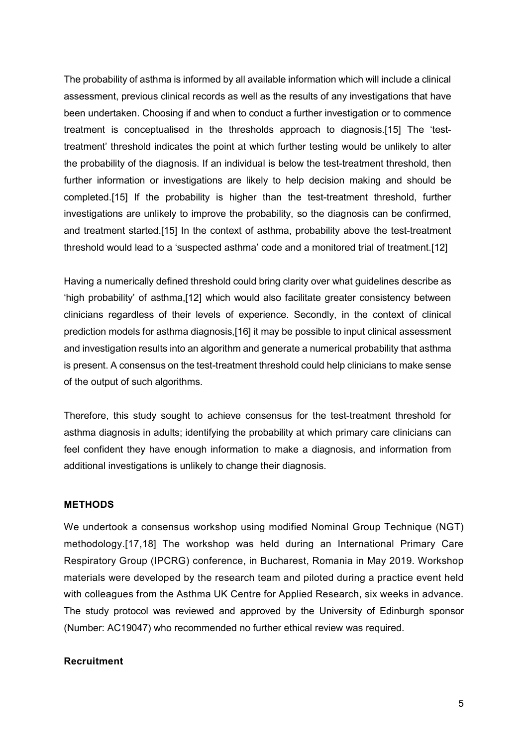The probability of asthma is informed by all available information which will include a clinical assessment, previous clinical records as well as the results of any investigations that have been undertaken. Choosing if and when to conduct a further investigation or to commence treatment is conceptualised in the thresholds approach to diagnosis.[15] The 'testtreatment' threshold indicates the point at which further testing would be unlikely to alter the probability of the diagnosis. If an individual is below the test-treatment threshold, then further information or investigations are likely to help decision making and should be completed.[15] If the probability is higher than the test-treatment threshold, further investigations are unlikely to improve the probability, so the diagnosis can be confirmed, and treatment started.[15] In the context of asthma, probability above the test-treatment threshold would lead to a 'suspected asthma' code and a monitored trial of treatment.[12]

Having a numerically defined threshold could bring clarity over what guidelines describe as 'high probability' of asthma,[12] which would also facilitate greater consistency between clinicians regardless of their levels of experience. Secondly, in the context of clinical prediction models for asthma diagnosis,[16] it may be possible to input clinical assessment and investigation results into an algorithm and generate a numerical probability that asthma is present. A consensus on the test-treatment threshold could help clinicians to make sense of the output of such algorithms.

Therefore, this study sought to achieve consensus for the test-treatment threshold for asthma diagnosis in adults; identifying the probability at which primary care clinicians can feel confident they have enough information to make a diagnosis, and information from additional investigations is unlikely to change their diagnosis.

#### **METHODS**

We undertook a consensus workshop using modified Nominal Group Technique (NGT) methodology.[17,18] The workshop was held during an International Primary Care Respiratory Group (IPCRG) conference, in Bucharest, Romania in May 2019. Workshop materials were developed by the research team and piloted during a practice event held with colleagues from the Asthma UK Centre for Applied Research, six weeks in advance. The study protocol was reviewed and approved by the University of Edinburgh sponsor (Number: AC19047) who recommended no further ethical review was required.

## Recruitment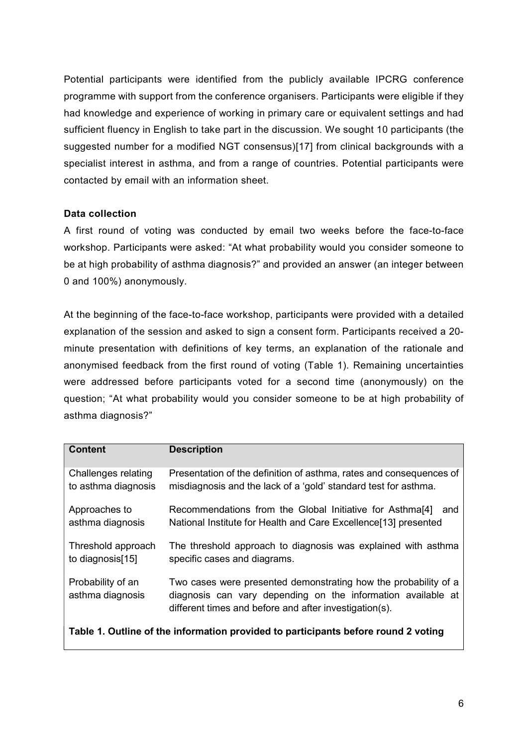Potential participants were identified from the publicly available IPCRG conference programme with support from the conference organisers. Participants were eligible if they had knowledge and experience of working in primary care or equivalent settings and had sufficient fluency in English to take part in the discussion. We sought 10 participants (the suggested number for a modified NGT consensus)[17] from clinical backgrounds with a specialist interest in asthma, and from a range of countries. Potential participants were contacted by email with an information sheet.

## Data collection

A first round of voting was conducted by email two weeks before the face-to-face workshop. Participants were asked: "At what probability would you consider someone to be at high probability of asthma diagnosis?" and provided an answer (an integer between 0 and 100%) anonymously.

At the beginning of the face-to-face workshop, participants were provided with a detailed explanation of the session and asked to sign a consent form. Participants received a 20 minute presentation with definitions of key terms, an explanation of the rationale and anonymised feedback from the first round of voting (Table 1). Remaining uncertainties were addressed before participants voted for a second time (anonymously) on the question; "At what probability would you consider someone to be at high probability of asthma diagnosis?"

| <b>Content</b>                                                                     | <b>Description</b>                                                                                                                                                                        |  |  |  |
|------------------------------------------------------------------------------------|-------------------------------------------------------------------------------------------------------------------------------------------------------------------------------------------|--|--|--|
| Challenges relating<br>to asthma diagnosis                                         | Presentation of the definition of asthma, rates and consequences of<br>misdiagnosis and the lack of a 'gold' standard test for asthma.                                                    |  |  |  |
| Approaches to<br>asthma diagnosis                                                  | Recommendations from the Global Initiative for Asthma <sup>[4]</sup><br>and<br>National Institute for Health and Care Excellence[13] presented                                            |  |  |  |
| Threshold approach<br>to diagnosis[15]                                             | The threshold approach to diagnosis was explained with asthma<br>specific cases and diagrams.                                                                                             |  |  |  |
| Probability of an<br>asthma diagnosis                                              | Two cases were presented demonstrating how the probability of a<br>diagnosis can vary depending on the information available at<br>different times and before and after investigation(s). |  |  |  |
| Table 1. Outline of the information provided to participants before round 2 voting |                                                                                                                                                                                           |  |  |  |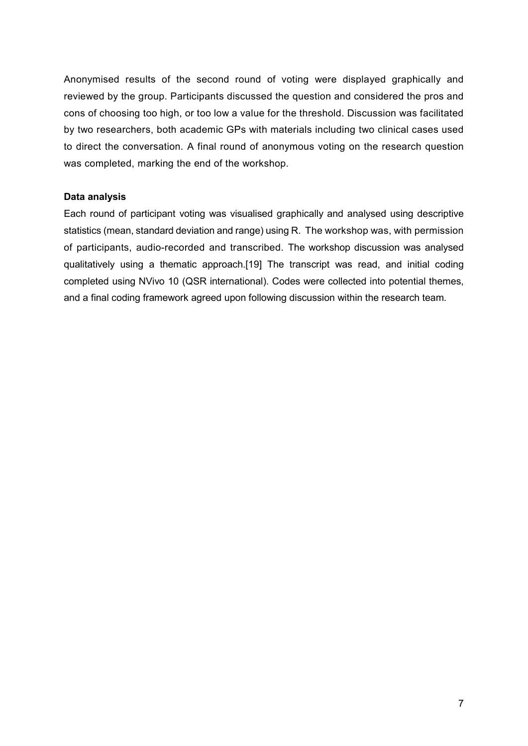Anonymised results of the second round of voting were displayed graphically and reviewed by the group. Participants discussed the question and considered the pros and cons of choosing too high, or too low a value for the threshold. Discussion was facilitated by two researchers, both academic GPs with materials including two clinical cases used to direct the conversation. A final round of anonymous voting on the research question was completed, marking the end of the workshop.

## Data analysis

Each round of participant voting was visualised graphically and analysed using descriptive statistics (mean, standard deviation and range) using R. The workshop was, with permission of participants, audio-recorded and transcribed. The workshop discussion was analysed qualitatively using a thematic approach.[19] The transcript was read, and initial coding completed using NVivo 10 (QSR international). Codes were collected into potential themes, and a final coding framework agreed upon following discussion within the research team.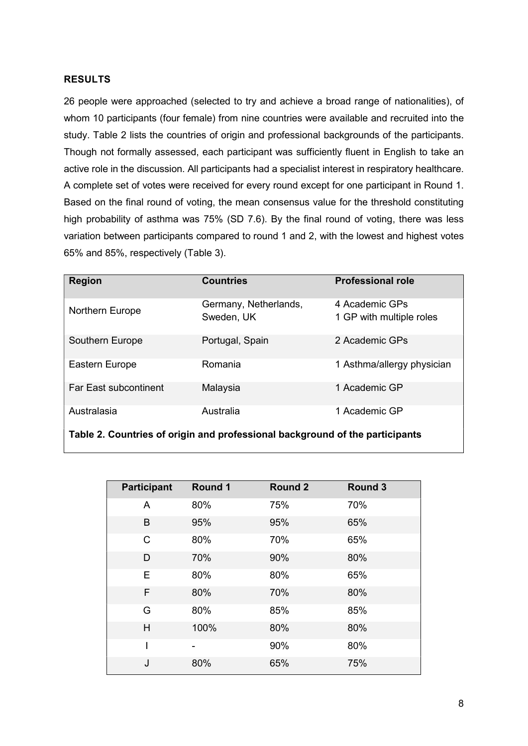## RESULTS

26 people were approached (selected to try and achieve a broad range of nationalities), of whom 10 participants (four female) from nine countries were available and recruited into the study. Table 2 lists the countries of origin and professional backgrounds of the participants. Though not formally assessed, each participant was sufficiently fluent in English to take an active role in the discussion. All participants had a specialist interest in respiratory healthcare. A complete set of votes were received for every round except for one participant in Round 1. Based on the final round of voting, the mean consensus value for the threshold constituting high probability of asthma was 75% (SD 7.6). By the final round of voting, there was less variation between participants compared to round 1 and 2, with the lowest and highest votes 65% and 85%, respectively (Table 3).

| <b>Region</b>                                                                | <b>Countries</b>                    | <b>Professional role</b>                   |  |  |  |
|------------------------------------------------------------------------------|-------------------------------------|--------------------------------------------|--|--|--|
| Northern Europe                                                              | Germany, Netherlands,<br>Sweden, UK | 4 Academic GPs<br>1 GP with multiple roles |  |  |  |
| Southern Europe                                                              | Portugal, Spain                     | 2 Academic GPs                             |  |  |  |
| Eastern Europe                                                               | Romania                             | 1 Asthma/allergy physician                 |  |  |  |
| <b>Far East subcontinent</b>                                                 | Malaysia                            | 1 Academic GP                              |  |  |  |
| Australasia                                                                  | Australia                           | 1 Academic GP                              |  |  |  |
| Table 2. Countries of origin and professional background of the participants |                                     |                                            |  |  |  |

| <b>Participant</b> | Round 1 | Round 2 | Round 3 |
|--------------------|---------|---------|---------|
| A                  | 80%     | 75%     | 70%     |
| B                  | 95%     | 95%     | 65%     |
| C                  | 80%     | 70%     | 65%     |
| D                  | 70%     | 90%     | 80%     |
| E                  | 80%     | 80%     | 65%     |
| F                  | 80%     | 70%     | 80%     |
| G                  | 80%     | 85%     | 85%     |
| H                  | 100%    | 80%     | 80%     |
|                    |         | 90%     | 80%     |
| J                  | 80%     | 65%     | 75%     |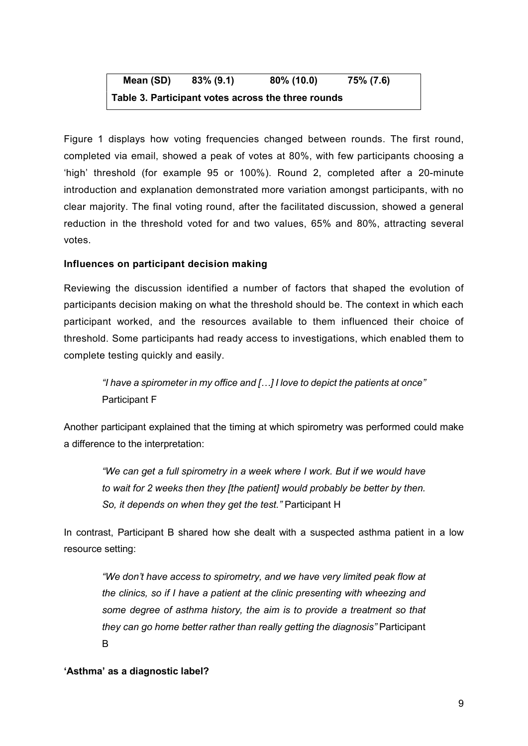Mean (SD) 83% (9.1) 80% (10.0) 75% (7.6) Table 3. Participant votes across the three rounds

Figure 1 displays how voting frequencies changed between rounds. The first round, completed via email, showed a peak of votes at 80%, with few participants choosing a 'high' threshold (for example 95 or 100%). Round 2, completed after a 20-minute introduction and explanation demonstrated more variation amongst participants, with no clear majority. The final voting round, after the facilitated discussion, showed a general reduction in the threshold voted for and two values, 65% and 80%, attracting several votes.

## Influences on participant decision making

Reviewing the discussion identified a number of factors that shaped the evolution of participants decision making on what the threshold should be. The context in which each participant worked, and the resources available to them influenced their choice of threshold. Some participants had ready access to investigations, which enabled them to complete testing quickly and easily.

"I have a spirometer in my office and […] I love to depict the patients at once" Participant F

Another participant explained that the timing at which spirometry was performed could make a difference to the interpretation:

"We can get a full spirometry in a week where I work. But if we would have to wait for 2 weeks then they [the patient] would probably be better by then. So, it depends on when they get the test." Participant H

In contrast, Participant B shared how she dealt with a suspected asthma patient in a low resource setting:

"We don't have access to spirometry, and we have very limited peak flow at the clinics, so if I have a patient at the clinic presenting with wheezing and some degree of asthma history, the aim is to provide a treatment so that they can go home better rather than really getting the diagnosis" Participant B

## 'Asthma' as a diagnostic label?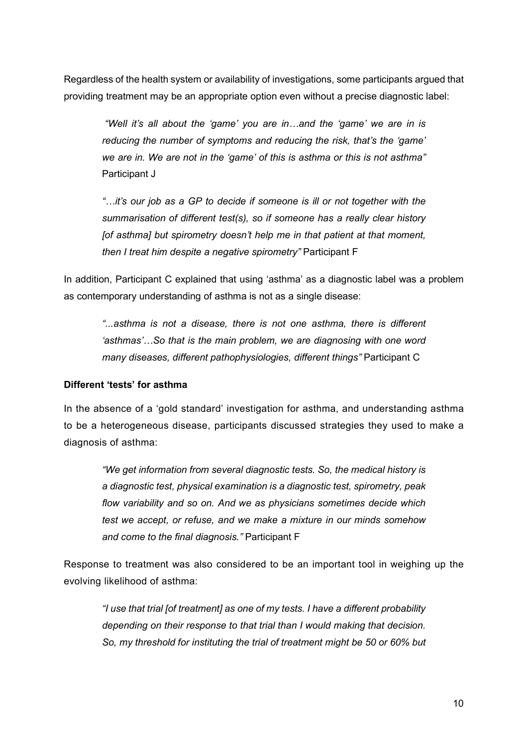Regardless of the health system or availability of investigations, some participants argued that providing treatment may be an appropriate option even without a precise diagnostic label:

 "Well it's all about the 'game' you are in…and the 'game' we are in is reducing the number of symptoms and reducing the risk, that's the 'game' we are in. We are not in the 'game' of this is asthma or this is not asthma" Participant J

"…it's our job as a GP to decide if someone is ill or not together with the summarisation of different test(s), so if someone has a really clear history [of asthma] but spirometry doesn't help me in that patient at that moment, then I treat him despite a negative spirometry" Participant F

In addition, Participant C explained that using 'asthma' as a diagnostic label was a problem as contemporary understanding of asthma is not as a single disease:

"...asthma is not a disease, there is not one asthma, there is different 'asthmas'…So that is the main problem, we are diagnosing with one word many diseases, different pathophysiologies, different things" Participant C

## Different 'tests' for asthma

In the absence of a 'gold standard' investigation for asthma, and understanding asthma to be a heterogeneous disease, participants discussed strategies they used to make a diagnosis of asthma:

"We get information from several diagnostic tests. So, the medical history is a diagnostic test, physical examination is a diagnostic test, spirometry, peak flow variability and so on. And we as physicians sometimes decide which test we accept, or refuse, and we make a mixture in our minds somehow and come to the final diagnosis." Participant F

Response to treatment was also considered to be an important tool in weighing up the evolving likelihood of asthma:

"I use that trial [of treatment] as one of my tests. I have a different probability depending on their response to that trial than I would making that decision. So, my threshold for instituting the trial of treatment might be 50 or 60% but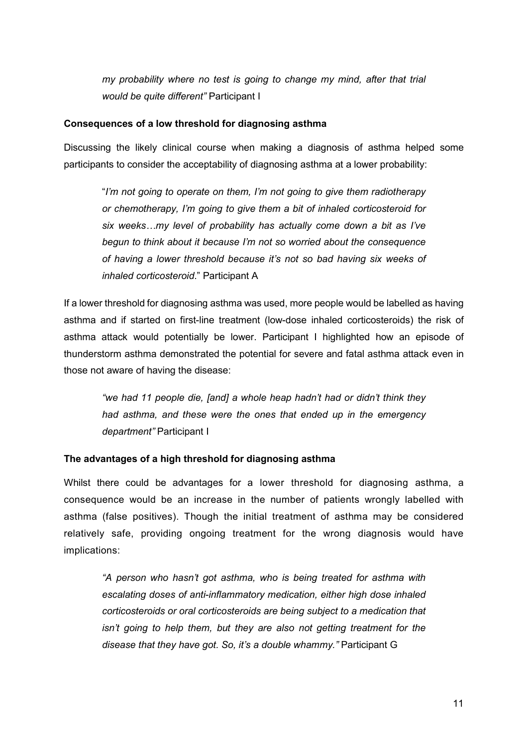my probability where no test is going to change my mind, after that trial would be quite different" Participant I

## Consequences of a low threshold for diagnosing asthma

Discussing the likely clinical course when making a diagnosis of asthma helped some participants to consider the acceptability of diagnosing asthma at a lower probability:

"I'm not going to operate on them, I'm not going to give them radiotherapy or chemotherapy, I'm going to give them a bit of inhaled corticosteroid for six weeks...my level of probability has actually come down a bit as I've begun to think about it because I'm not so worried about the consequence of having a lower threshold because it's not so bad having six weeks of inhaled corticosteroid." Participant A

If a lower threshold for diagnosing asthma was used, more people would be labelled as having asthma and if started on first-line treatment (low-dose inhaled corticosteroids) the risk of asthma attack would potentially be lower. Participant I highlighted how an episode of thunderstorm asthma demonstrated the potential for severe and fatal asthma attack even in those not aware of having the disease:

"we had 11 people die, [and] a whole heap hadn't had or didn't think they had asthma, and these were the ones that ended up in the emergency department" Participant I

## The advantages of a high threshold for diagnosing asthma

Whilst there could be advantages for a lower threshold for diagnosing asthma, a consequence would be an increase in the number of patients wrongly labelled with asthma (false positives). Though the initial treatment of asthma may be considered relatively safe, providing ongoing treatment for the wrong diagnosis would have implications:

"A person who hasn't got asthma, who is being treated for asthma with escalating doses of anti-inflammatory medication, either high dose inhaled corticosteroids or oral corticosteroids are being subject to a medication that isn't going to help them, but they are also not getting treatment for the disease that they have got. So, it's a double whammy." Participant G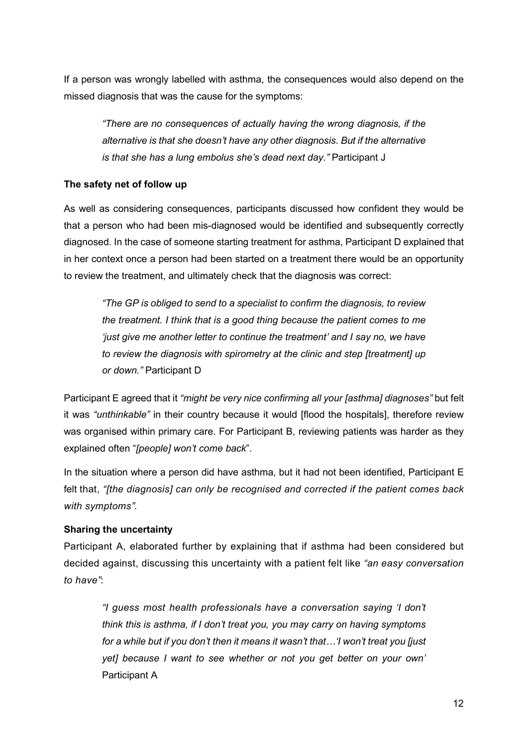If a person was wrongly labelled with asthma, the consequences would also depend on the missed diagnosis that was the cause for the symptoms:

"There are no consequences of actually having the wrong diagnosis, if the alternative is that she doesn't have any other diagnosis. But if the alternative is that she has a lung embolus she's dead next day." Participant J

## The safety net of follow up

As well as considering consequences, participants discussed how confident they would be that a person who had been mis-diagnosed would be identified and subsequently correctly diagnosed. In the case of someone starting treatment for asthma, Participant D explained that in her context once a person had been started on a treatment there would be an opportunity to review the treatment, and ultimately check that the diagnosis was correct:

"The GP is obliged to send to a specialist to confirm the diagnosis, to review the treatment. I think that is a good thing because the patient comes to me 'just give me another letter to continue the treatment' and I say no, we have to review the diagnosis with spirometry at the clinic and step [treatment] up or down." Participant D

Participant E agreed that it "might be very nice confirming all your [asthma] diagnoses" but felt it was "unthinkable" in their country because it would [flood the hospitals], therefore review was organised within primary care. For Participant B, reviewing patients was harder as they explained often "[people] won't come back".

In the situation where a person did have asthma, but it had not been identified, Participant E felt that, "[the diagnosis] can only be recognised and corrected if the patient comes back with symptoms".

## Sharing the uncertainty

Participant A, elaborated further by explaining that if asthma had been considered but decided against, discussing this uncertainty with a patient felt like "an easy conversation to have":

"I guess most health professionals have a conversation saying 'I don't think this is asthma, if I don't treat you, you may carry on having symptoms for a while but if you don't then it means it wasn't that…'I won't treat you [just yet] because I want to see whether or not you get better on your own' Participant A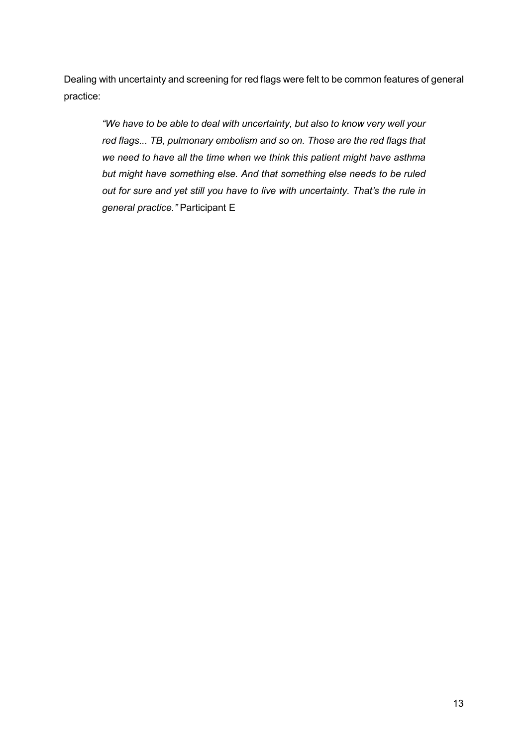Dealing with uncertainty and screening for red flags were felt to be common features of general practice:

"We have to be able to deal with uncertainty, but also to know very well your red flags... TB, pulmonary embolism and so on. Those are the red flags that we need to have all the time when we think this patient might have asthma but might have something else. And that something else needs to be ruled out for sure and yet still you have to live with uncertainty. That's the rule in general practice." Participant E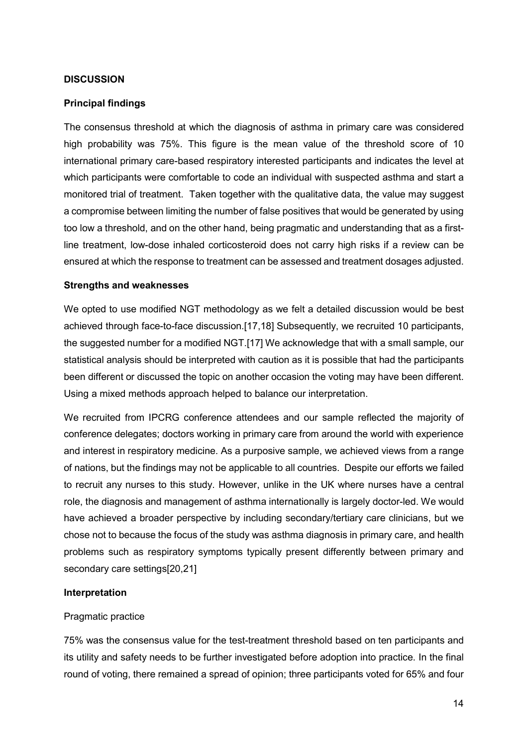## **DISCUSSION**

## Principal findings

The consensus threshold at which the diagnosis of asthma in primary care was considered high probability was 75%. This figure is the mean value of the threshold score of 10 international primary care-based respiratory interested participants and indicates the level at which participants were comfortable to code an individual with suspected asthma and start a monitored trial of treatment. Taken together with the qualitative data, the value may suggest a compromise between limiting the number of false positives that would be generated by using too low a threshold, and on the other hand, being pragmatic and understanding that as a firstline treatment, low-dose inhaled corticosteroid does not carry high risks if a review can be ensured at which the response to treatment can be assessed and treatment dosages adjusted.

## Strengths and weaknesses

We opted to use modified NGT methodology as we felt a detailed discussion would be best achieved through face-to-face discussion.[17,18] Subsequently, we recruited 10 participants, the suggested number for a modified NGT.[17] We acknowledge that with a small sample, our statistical analysis should be interpreted with caution as it is possible that had the participants been different or discussed the topic on another occasion the voting may have been different. Using a mixed methods approach helped to balance our interpretation.

We recruited from IPCRG conference attendees and our sample reflected the majority of conference delegates; doctors working in primary care from around the world with experience and interest in respiratory medicine. As a purposive sample, we achieved views from a range of nations, but the findings may not be applicable to all countries. Despite our efforts we failed to recruit any nurses to this study. However, unlike in the UK where nurses have a central role, the diagnosis and management of asthma internationally is largely doctor-led. We would have achieved a broader perspective by including secondary/tertiary care clinicians, but we chose not to because the focus of the study was asthma diagnosis in primary care, and health problems such as respiratory symptoms typically present differently between primary and secondary care settings[20,21]

## Interpretation

## Pragmatic practice

75% was the consensus value for the test-treatment threshold based on ten participants and its utility and safety needs to be further investigated before adoption into practice. In the final round of voting, there remained a spread of opinion; three participants voted for 65% and four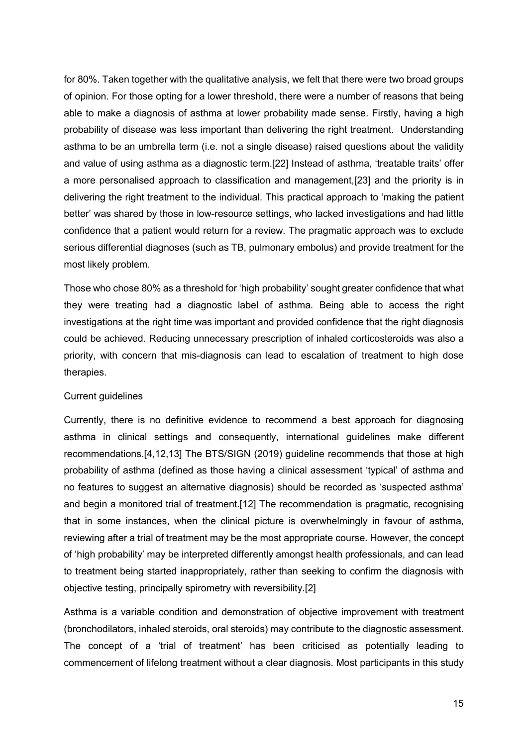for 80%. Taken together with the qualitative analysis, we felt that there were two broad groups of opinion. For those opting for a lower threshold, there were a number of reasons that being able to make a diagnosis of asthma at lower probability made sense. Firstly, having a high probability of disease was less important than delivering the right treatment. Understanding asthma to be an umbrella term (i.e. not a single disease) raised questions about the validity and value of using asthma as a diagnostic term.[22] Instead of asthma, 'treatable traits' offer a more personalised approach to classification and management,[23] and the priority is in delivering the right treatment to the individual. This practical approach to 'making the patient better' was shared by those in low-resource settings, who lacked investigations and had little confidence that a patient would return for a review. The pragmatic approach was to exclude serious differential diagnoses (such as TB, pulmonary embolus) and provide treatment for the most likely problem.

Those who chose 80% as a threshold for 'high probability' sought greater confidence that what they were treating had a diagnostic label of asthma. Being able to access the right investigations at the right time was important and provided confidence that the right diagnosis could be achieved. Reducing unnecessary prescription of inhaled corticosteroids was also a priority, with concern that mis-diagnosis can lead to escalation of treatment to high dose therapies.

#### Current guidelines

Currently, there is no definitive evidence to recommend a best approach for diagnosing asthma in clinical settings and consequently, international guidelines make different recommendations.[4,12,13] The BTS/SIGN (2019) guideline recommends that those at high probability of asthma (defined as those having a clinical assessment 'typical' of asthma and no features to suggest an alternative diagnosis) should be recorded as 'suspected asthma' and begin a monitored trial of treatment.[12] The recommendation is pragmatic, recognising that in some instances, when the clinical picture is overwhelmingly in favour of asthma, reviewing after a trial of treatment may be the most appropriate course. However, the concept of 'high probability' may be interpreted differently amongst health professionals, and can lead to treatment being started inappropriately, rather than seeking to confirm the diagnosis with objective testing, principally spirometry with reversibility.[2]

Asthma is a variable condition and demonstration of objective improvement with treatment (bronchodilators, inhaled steroids, oral steroids) may contribute to the diagnostic assessment. The concept of a 'trial of treatment' has been criticised as potentially leading to commencement of lifelong treatment without a clear diagnosis. Most participants in this study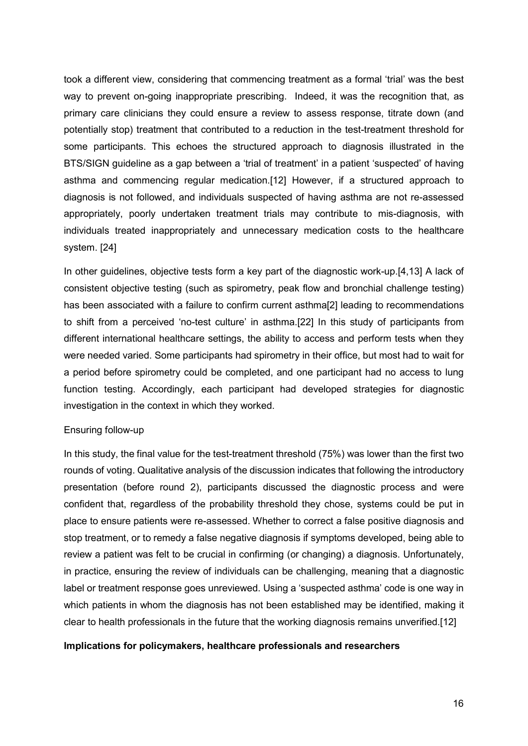took a different view, considering that commencing treatment as a formal 'trial' was the best way to prevent on-going inappropriate prescribing. Indeed, it was the recognition that, as primary care clinicians they could ensure a review to assess response, titrate down (and potentially stop) treatment that contributed to a reduction in the test-treatment threshold for some participants. This echoes the structured approach to diagnosis illustrated in the BTS/SIGN guideline as a gap between a 'trial of treatment' in a patient 'suspected' of having asthma and commencing regular medication.[12] However, if a structured approach to diagnosis is not followed, and individuals suspected of having asthma are not re-assessed appropriately, poorly undertaken treatment trials may contribute to mis-diagnosis, with individuals treated inappropriately and unnecessary medication costs to the healthcare system. [24]

In other guidelines, objective tests form a key part of the diagnostic work-up.[4,13] A lack of consistent objective testing (such as spirometry, peak flow and bronchial challenge testing) has been associated with a failure to confirm current asthma[2] leading to recommendations to shift from a perceived 'no-test culture' in asthma.[22] In this study of participants from different international healthcare settings, the ability to access and perform tests when they were needed varied. Some participants had spirometry in their office, but most had to wait for a period before spirometry could be completed, and one participant had no access to lung function testing. Accordingly, each participant had developed strategies for diagnostic investigation in the context in which they worked.

#### Ensuring follow-up

In this study, the final value for the test-treatment threshold (75%) was lower than the first two rounds of voting. Qualitative analysis of the discussion indicates that following the introductory presentation (before round 2), participants discussed the diagnostic process and were confident that, regardless of the probability threshold they chose, systems could be put in place to ensure patients were re-assessed. Whether to correct a false positive diagnosis and stop treatment, or to remedy a false negative diagnosis if symptoms developed, being able to review a patient was felt to be crucial in confirming (or changing) a diagnosis. Unfortunately, in practice, ensuring the review of individuals can be challenging, meaning that a diagnostic label or treatment response goes unreviewed. Using a 'suspected asthma' code is one way in which patients in whom the diagnosis has not been established may be identified, making it clear to health professionals in the future that the working diagnosis remains unverified.[12]

## Implications for policymakers, healthcare professionals and researchers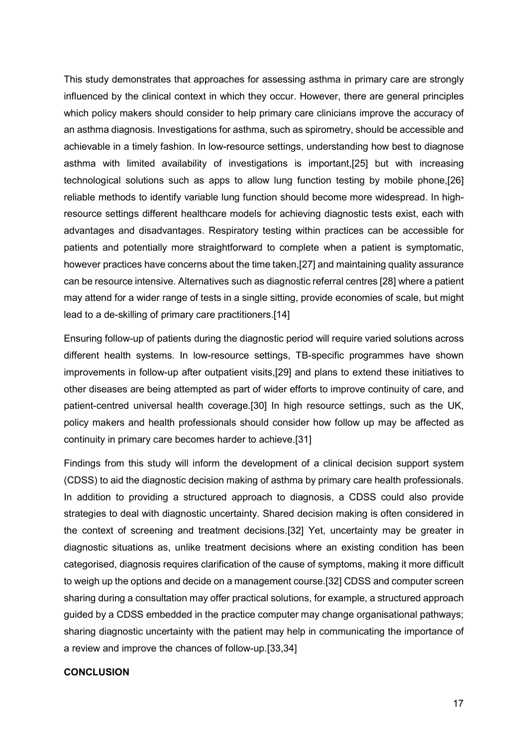This study demonstrates that approaches for assessing asthma in primary care are strongly influenced by the clinical context in which they occur. However, there are general principles which policy makers should consider to help primary care clinicians improve the accuracy of an asthma diagnosis. Investigations for asthma, such as spirometry, should be accessible and achievable in a timely fashion. In low-resource settings, understanding how best to diagnose asthma with limited availability of investigations is important,[25] but with increasing technological solutions such as apps to allow lung function testing by mobile phone,[26] reliable methods to identify variable lung function should become more widespread. In highresource settings different healthcare models for achieving diagnostic tests exist, each with advantages and disadvantages. Respiratory testing within practices can be accessible for patients and potentially more straightforward to complete when a patient is symptomatic, however practices have concerns about the time taken,[27] and maintaining quality assurance can be resource intensive. Alternatives such as diagnostic referral centres [28] where a patient may attend for a wider range of tests in a single sitting, provide economies of scale, but might lead to a de-skilling of primary care practitioners.[14]

Ensuring follow-up of patients during the diagnostic period will require varied solutions across different health systems. In low-resource settings, TB-specific programmes have shown improvements in follow-up after outpatient visits,[29] and plans to extend these initiatives to other diseases are being attempted as part of wider efforts to improve continuity of care, and patient-centred universal health coverage.[30] In high resource settings, such as the UK, policy makers and health professionals should consider how follow up may be affected as continuity in primary care becomes harder to achieve.[31]

Findings from this study will inform the development of a clinical decision support system (CDSS) to aid the diagnostic decision making of asthma by primary care health professionals. In addition to providing a structured approach to diagnosis, a CDSS could also provide strategies to deal with diagnostic uncertainty. Shared decision making is often considered in the context of screening and treatment decisions.[32] Yet, uncertainty may be greater in diagnostic situations as, unlike treatment decisions where an existing condition has been categorised, diagnosis requires clarification of the cause of symptoms, making it more difficult to weigh up the options and decide on a management course.[32] CDSS and computer screen sharing during a consultation may offer practical solutions, for example, a structured approach guided by a CDSS embedded in the practice computer may change organisational pathways; sharing diagnostic uncertainty with the patient may help in communicating the importance of a review and improve the chances of follow-up.[33,34]

## **CONCLUSION**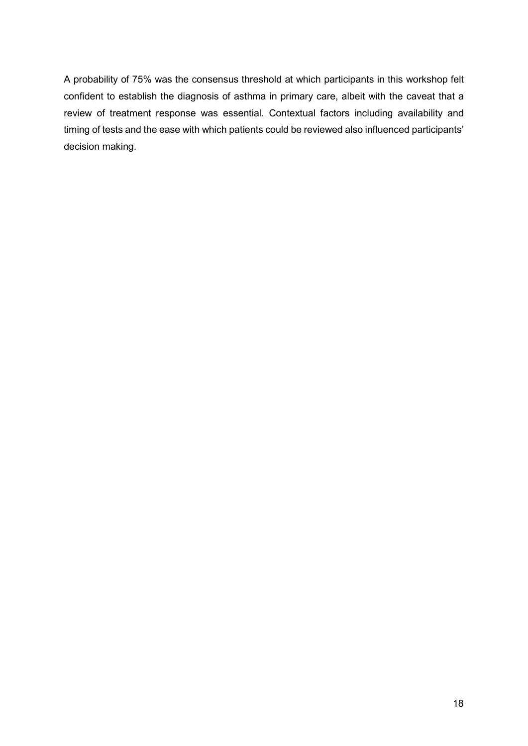A probability of 75% was the consensus threshold at which participants in this workshop felt confident to establish the diagnosis of asthma in primary care, albeit with the caveat that a review of treatment response was essential. Contextual factors including availability and timing of tests and the ease with which patients could be reviewed also influenced participants' decision making.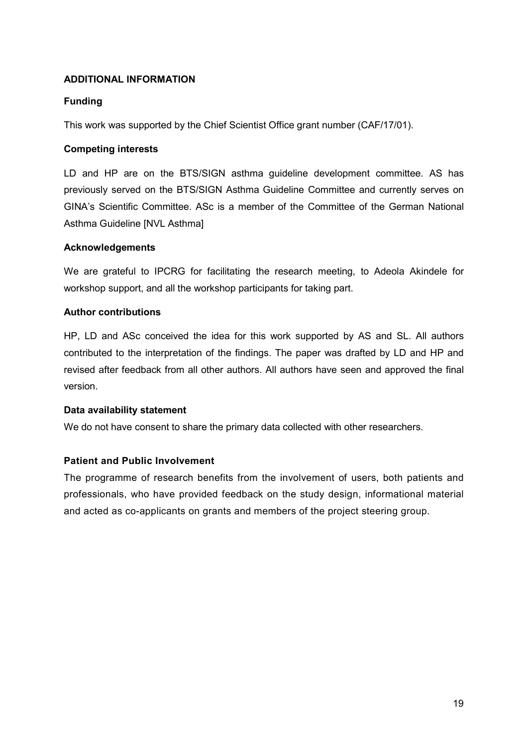## ADDITIONAL INFORMATION

## Funding

This work was supported by the Chief Scientist Office grant number (CAF/17/01).

## Competing interests

LD and HP are on the BTS/SIGN asthma guideline development committee. AS has previously served on the BTS/SIGN Asthma Guideline Committee and currently serves on GINA's Scientific Committee. ASc is a member of the Committee of the German National Asthma Guideline [NVL Asthma]

## Acknowledgements

We are grateful to IPCRG for facilitating the research meeting, to Adeola Akindele for workshop support, and all the workshop participants for taking part.

## Author contributions

HP, LD and ASc conceived the idea for this work supported by AS and SL. All authors contributed to the interpretation of the findings. The paper was drafted by LD and HP and revised after feedback from all other authors. All authors have seen and approved the final version.

## Data availability statement

We do not have consent to share the primary data collected with other researchers.

## Patient and Public Involvement

The programme of research benefits from the involvement of users, both patients and professionals, who have provided feedback on the study design, informational material and acted as co-applicants on grants and members of the project steering group.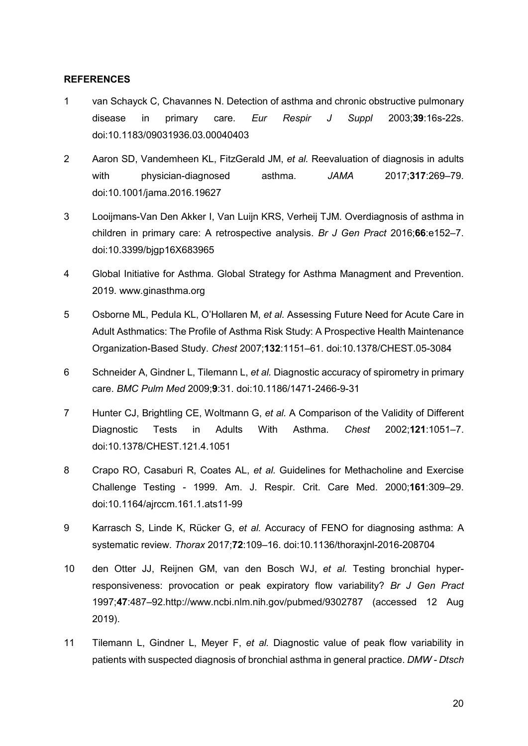## **REFERENCES**

- 1 van Schayck C, Chavannes N. Detection of asthma and chronic obstructive pulmonary disease in primary care. Eur Respir J Suppl 2003;39:16s-22s. doi:10.1183/09031936.03.00040403
- 2 Aaron SD, Vandemheen KL, FitzGerald JM, et al. Reevaluation of diagnosis in adults with physician-diagnosed asthma. JAMA 2017;317:269–79. doi:10.1001/jama.2016.19627
- 3 Looijmans-Van Den Akker I, Van Luijn KRS, Verheij TJM. Overdiagnosis of asthma in children in primary care: A retrospective analysis. Br J Gen Pract 2016:66:e152-7. doi:10.3399/bjgp16X683965
- 4 Global Initiative for Asthma. Global Strategy for Asthma Managment and Prevention. 2019. www.ginasthma.org
- 5 Osborne ML, Pedula KL, O'Hollaren M, et al. Assessing Future Need for Acute Care in Adult Asthmatics: The Profile of Asthma Risk Study: A Prospective Health Maintenance Organization-Based Study. Chest 2007;132:1151–61. doi:10.1378/CHEST.05-3084
- 6 Schneider A, Gindner L, Tilemann L, et al. Diagnostic accuracy of spirometry in primary care. BMC Pulm Med 2009;9:31. doi:10.1186/1471-2466-9-31
- 7 Hunter CJ, Brightling CE, Woltmann G, et al. A Comparison of the Validity of Different Diagnostic Tests in Adults With Asthma. Chest 2002;121:1051–7. doi:10.1378/CHEST.121.4.1051
- 8 Crapo RO, Casaburi R, Coates AL, et al. Guidelines for Methacholine and Exercise Challenge Testing - 1999. Am. J. Respir. Crit. Care Med. 2000;161:309–29. doi:10.1164/ajrccm.161.1.ats11-99
- 9 Karrasch S, Linde K, Rücker G, et al. Accuracy of FENO for diagnosing asthma: A systematic review. Thorax 2017;72:109–16. doi:10.1136/thoraxjnl-2016-208704
- 10 den Otter JJ, Reijnen GM, van den Bosch WJ, et al. Testing bronchial hyperresponsiveness: provocation or peak expiratory flow variability? Br J Gen Pract 1997;47:487–92.http://www.ncbi.nlm.nih.gov/pubmed/9302787 (accessed 12 Aug 2019).
- 11 Tilemann L, Gindner L, Meyer F, et al. Diagnostic value of peak flow variability in patients with suspected diagnosis of bronchial asthma in general practice. DMW - Dtsch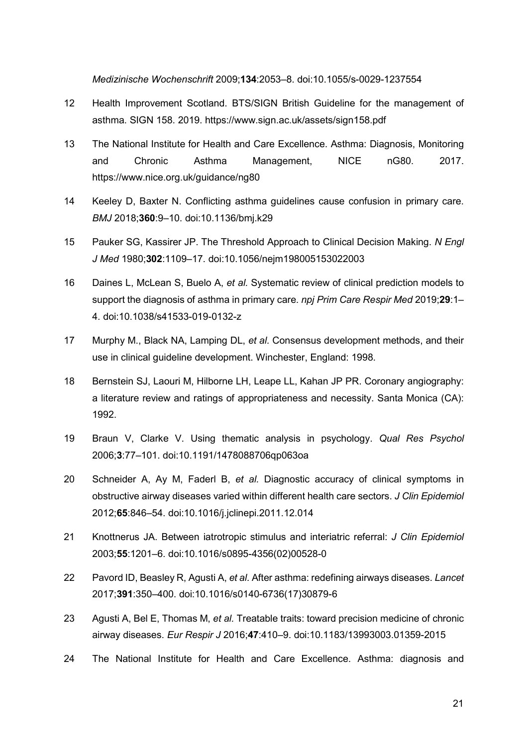Medizinische Wochenschrift 2009;134:2053–8. doi:10.1055/s-0029-1237554

- 12 Health Improvement Scotland. BTS/SIGN British Guideline for the management of asthma. SIGN 158. 2019. https://www.sign.ac.uk/assets/sign158.pdf
- 13 The National Institute for Health and Care Excellence. Asthma: Diagnosis, Monitoring and Chronic Asthma Management, NICE nG80. 2017. https://www.nice.org.uk/guidance/ng80
- 14 Keeley D, Baxter N. Conflicting asthma guidelines cause confusion in primary care. BMJ 2018;360:9–10. doi:10.1136/bmj.k29
- 15 Pauker SG, Kassirer JP. The Threshold Approach to Clinical Decision Making. N Engl J Med 1980;302:1109–17. doi:10.1056/nejm198005153022003
- 16 Daines L, McLean S, Buelo A, et al. Systematic review of clinical prediction models to support the diagnosis of asthma in primary care. npj Prim Care Respir Med 2019:29:1– 4. doi:10.1038/s41533-019-0132-z
- 17 Murphy M., Black NA, Lamping DL, et al. Consensus development methods, and their use in clinical guideline development. Winchester, England: 1998.
- 18 Bernstein SJ, Laouri M, Hilborne LH, Leape LL, Kahan JP PR. Coronary angiography: a literature review and ratings of appropriateness and necessity. Santa Monica (CA): 1992.
- 19 Braun V, Clarke V. Using thematic analysis in psychology. Qual Res Psychol 2006;3:77–101. doi:10.1191/1478088706qp063oa
- 20 Schneider A, Ay M, Faderl B, et al. Diagnostic accuracy of clinical symptoms in obstructive airway diseases varied within different health care sectors. J Clin Epidemiol 2012;65:846–54. doi:10.1016/j.jclinepi.2011.12.014
- 21 Knottnerus JA. Between iatrotropic stimulus and interiatric referral: J Clin Epidemiol 2003;55:1201–6. doi:10.1016/s0895-4356(02)00528-0
- 22 Pavord ID, Beasley R, Agusti A, et al. After asthma: redefining airways diseases. Lancet 2017;391:350–400. doi:10.1016/s0140-6736(17)30879-6
- 23 Agusti A, Bel E, Thomas M, et al. Treatable traits: toward precision medicine of chronic airway diseases. Eur Respir J 2016;47:410–9. doi:10.1183/13993003.01359-2015
- 24 The National Institute for Health and Care Excellence. Asthma: diagnosis and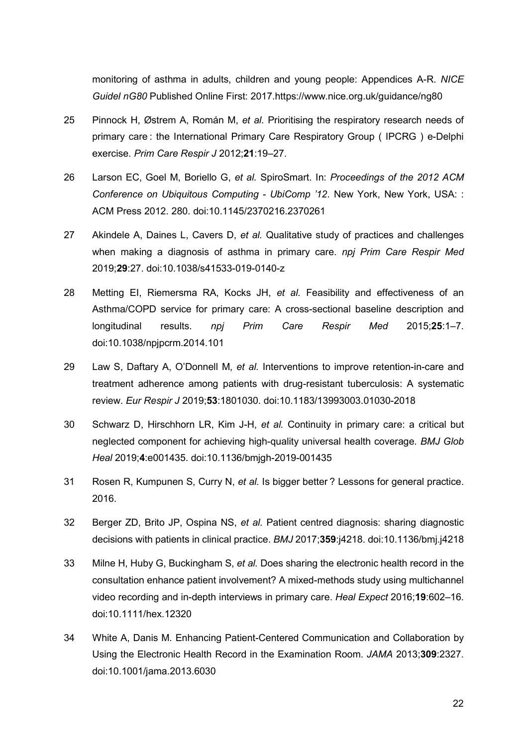monitoring of asthma in adults, children and young people: Appendices A-R. NICE Guidel nG80 Published Online First: 2017.https://www.nice.org.uk/guidance/ng80

- 25 Pinnock H, Østrem A, Román M, et al. Prioritising the respiratory research needs of primary care : the International Primary Care Respiratory Group ( IPCRG ) e-Delphi exercise. Prim Care Respir J 2012;21:19–27.
- 26 Larson EC, Goel M, Boriello G, et al. SpiroSmart. In: Proceedings of the 2012 ACM Conference on Ubiquitous Computing - UbiComp '12. New York, New York, USA: : ACM Press 2012. 280. doi:10.1145/2370216.2370261
- 27 Akindele A, Daines L, Cavers D, et al. Qualitative study of practices and challenges when making a diagnosis of asthma in primary care. npj Prim Care Respir Med 2019;29:27. doi:10.1038/s41533-019-0140-z
- 28 Metting EI, Riemersma RA, Kocks JH, et al. Feasibility and effectiveness of an Asthma/COPD service for primary care: A cross-sectional baseline description and longitudinal results. npj Prim Care Respir Med 2015;25:1–7. doi:10.1038/npjpcrm.2014.101
- 29 Law S, Daftary A, O'Donnell M, et al. Interventions to improve retention-in-care and treatment adherence among patients with drug-resistant tuberculosis: A systematic review. Eur Respir J 2019;53:1801030. doi:10.1183/13993003.01030-2018
- 30 Schwarz D, Hirschhorn LR, Kim J-H, et al. Continuity in primary care: a critical but neglected component for achieving high-quality universal health coverage. BMJ Glob Heal 2019;4:e001435. doi:10.1136/bmjgh-2019-001435
- 31 Rosen R, Kumpunen S, Curry N, et al. Is bigger better ? Lessons for general practice. 2016.
- 32 Berger ZD, Brito JP, Ospina NS, et al. Patient centred diagnosis: sharing diagnostic decisions with patients in clinical practice. BMJ 2017;359:j4218. doi:10.1136/bmj.j4218
- 33 Milne H, Huby G, Buckingham S, et al. Does sharing the electronic health record in the consultation enhance patient involvement? A mixed-methods study using multichannel video recording and in-depth interviews in primary care. Heal Expect 2016;19:602–16. doi:10.1111/hex.12320
- 34 White A, Danis M. Enhancing Patient-Centered Communication and Collaboration by Using the Electronic Health Record in the Examination Room. JAMA 2013;309:2327. doi:10.1001/jama.2013.6030